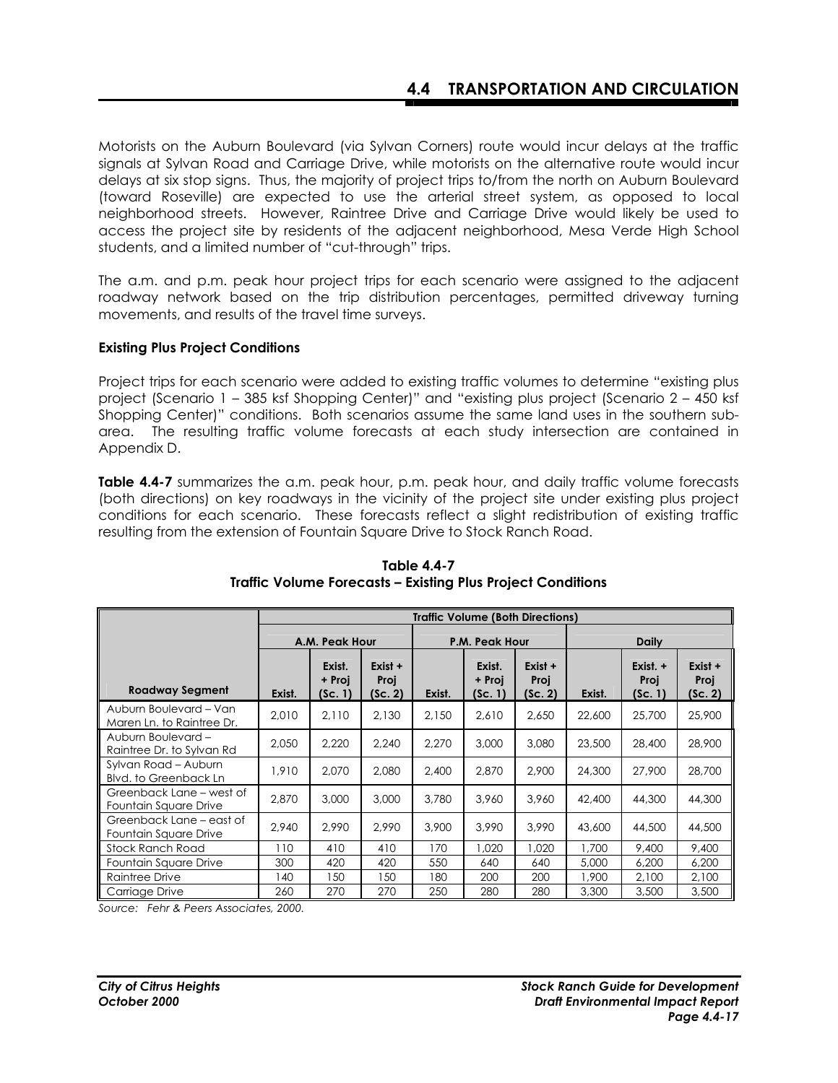Motorists on the Auburn Boulevard (via Sylvan Corners) route would incur delays at the traffic signals at Sylvan Road and Carriage Drive, while motorists on the alternative route would incur delays at six stop signs. Thus, the majority of project trips to/from the north on Auburn Boulevard (toward Roseville) are expected to use the arterial street system, as opposed to local neighborhood streets. However, Raintree Drive and Carriage Drive would likely be used to access the project site by residents of the adjacent neighborhood, Mesa Verde High School students, and a limited number of "cut-through" trips.

The a.m. and p.m. peak hour project trips for each scenario were assigned to the adjacent roadway network based on the trip distribution percentages, permitted driveway turning movements, and results of the travel time surveys.

### **Existing Plus Project Conditions**

Project trips for each scenario were added to existing traffic volumes to determine "existing plus project (Scenario 1 – 385 ksf Shopping Center)" and "existing plus project (Scenario 2 – 450 ksf Shopping Center)" conditions. Both scenarios assume the same land uses in the southern subarea. The resulting traffic volume forecasts at each study intersection are contained in Appendix D.

**Table 4.4-7** summarizes the a.m. peak hour, p.m. peak hour, and daily traffic volume forecasts (both directions) on key roadways in the vicinity of the project site under existing plus project conditions for each scenario. These forecasts reflect a slight redistribution of existing traffic resulting from the extension of Fountain Square Drive to Stock Ranch Road.

|                                                     |                | <b>Traffic Volume (Both Directions)</b> |                            |                |                             |                            |              |                               |                            |
|-----------------------------------------------------|----------------|-----------------------------------------|----------------------------|----------------|-----------------------------|----------------------------|--------------|-------------------------------|----------------------------|
|                                                     | A.M. Peak Hour |                                         |                            | P.M. Peak Hour |                             |                            | <b>Daily</b> |                               |                            |
| <b>Roadway Segment</b>                              | Exist.         | Exist.<br>+ Proi<br>(Sc. 1)             | Exist +<br>Proj<br>(Sc. 2) | Exist.         | Exist.<br>+ Proi<br>(Sc. 1) | Exist +<br>Proj<br>(Sc. 2) | Exist.       | Exist. $+$<br>Proj<br>(Sc. 1) | Exist +<br>Proj<br>(Sc. 2) |
| Auburn Boulevard - Van<br>Maren Ln. to Raintree Dr. | 2,010          | 2.110                                   | 2.130                      | 2.150          | 2.610                       | 2,650                      | 22,600       | 25,700                        | 25,900                     |
| Auburn Boulevard -<br>Raintree Dr. to Sylvan Rd     | 2,050          | 2,220                                   | 2.240                      | 2.270          | 3,000                       | 3,080                      | 23,500       | 28,400                        | 28,900                     |
| Sylvan Road - Auburn<br>Blvd. to Greenback Ln       | 1,910          | 2,070                                   | 2,080                      | 2,400          | 2,870                       | 2,900                      | 24,300       | 27,900                        | 28,700                     |
| Greenback Lane – west of<br>Fountain Square Drive   | 2,870          | 3,000                                   | 3,000                      | 3,780          | 3,960                       | 3,960                      | 42,400       | 44,300                        | 44,300                     |
| Greenback Lane – east of<br>Fountain Square Drive   | 2,940          | 2.990                                   | 2.990                      | 3,900          | 3.990                       | 3.990                      | 43,600       | 44,500                        | 44,500                     |
| Stock Ranch Road                                    | 110            | 410                                     | 410                        | 170            | 1,020                       | 1,020                      | 1,700        | 9,400                         | 9,400                      |
| Fountain Square Drive                               | 300            | 420                                     | 420                        | 550            | 640                         | 640                        | 5,000        | 6,200                         | 6,200                      |
| Raintree Drive                                      | 140            | 150                                     | 150                        | 180            | 200                         | 200                        | 1,900        | 2,100                         | 2,100                      |
| Carriage Drive                                      | 260            | 270                                     | 270                        | 250            | 280                         | 280                        | 3,300        | 3,500                         | 3,500                      |

**Table 4.4-7 Traffic Volume Forecasts – Existing Plus Project Conditions** 

*Source: Fehr & Peers Associates, 2000.*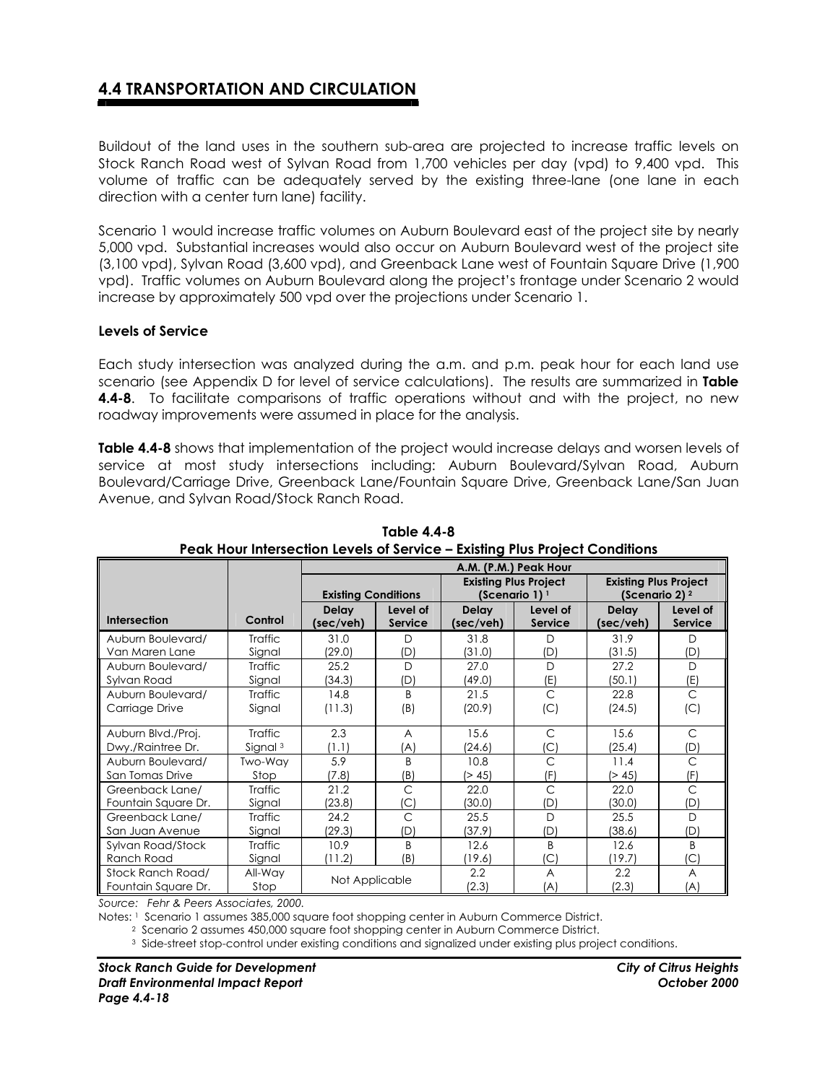Buildout of the land uses in the southern sub-area are projected to increase traffic levels on Stock Ranch Road west of Sylvan Road from 1,700 vehicles per day (vpd) to 9,400 vpd. This volume of traffic can be adequately served by the existing three-lane (one lane in each direction with a center turn lane) facility.

Scenario 1 would increase traffic volumes on Auburn Boulevard east of the project site by nearly 5,000 vpd. Substantial increases would also occur on Auburn Boulevard west of the project site (3,100 vpd), Sylvan Road (3,600 vpd), and Greenback Lane west of Fountain Square Drive (1,900 vpd). Traffic volumes on Auburn Boulevard along the project's frontage under Scenario 2 would increase by approximately 500 vpd over the projections under Scenario 1.

#### **Levels of Service**

Each study intersection was analyzed during the a.m. and p.m. peak hour for each land use scenario (see Appendix D for level of service calculations). The results are summarized in **Table 4.4-8**. To facilitate comparisons of traffic operations without and with the project, no new roadway improvements were assumed in place for the analysis.

**Table 4.4-8** shows that implementation of the project would increase delays and worsen levels of service at most study intersections including: Auburn Boulevard/Sylvan Road, Auburn Boulevard/Carriage Drive, Greenback Lane/Fountain Square Drive, Greenback Lane/San Juan Avenue, and Sylvan Road/Stock Ranch Road.

|                     |                     | A.M. (P.M.) Peak Hour      |              |                              |                |                              |                           |  |
|---------------------|---------------------|----------------------------|--------------|------------------------------|----------------|------------------------------|---------------------------|--|
|                     |                     |                            |              | <b>Existing Plus Project</b> |                | <b>Existing Plus Project</b> |                           |  |
|                     |                     | <b>Existing Conditions</b> |              | (Scenario 1) 1               |                |                              | (Scenario 2) <sup>2</sup> |  |
|                     |                     | <b>Delay</b>               | Level of     | <b>Delay</b>                 | Level of       | <b>Delay</b>                 | Level of                  |  |
| <b>Intersection</b> | Control             | (sec/veh)                  | Service      | (sec/veh)                    | <b>Service</b> | (sec/veh)                    | Service                   |  |
| Auburn Boulevard/   | Traffic             | 31.0                       | D            | 31.8                         | D              | 31.9                         | D                         |  |
| Van Maren Lane      | Signal              | (29.0)                     | (D)          | (31.0)                       | (D)            | (31.5)                       | (D)                       |  |
| Auburn Boulevard/   | Traffic             | 25.2                       | $\Box$       | 27.0                         | $\Box$         | 27.2                         | $\mathsf{D}$              |  |
| Sylvan Road         | Signal              | (34.3)                     | (D)          | (49.0)                       | (E)            | (50.1)                       | (E)                       |  |
| Auburn Boulevard/   | Traffic             | 14.8                       | <sub>R</sub> | 21.5                         | C              | 22.8                         | C                         |  |
| Carriage Drive      | Signal              | (11.3)                     | (B)          | (20.9)                       | (C)            | (24.5)                       | (C)                       |  |
|                     |                     |                            |              |                              |                |                              |                           |  |
| Auburn Blvd./Proj.  | <b>Traffic</b>      | 2.3                        | A            | 15.6                         | $\mathsf{C}$   | 15.6                         | C                         |  |
| Dwy./Raintree Dr.   | Signal <sup>3</sup> | (1.1)                      | (A)          | (24.6)                       | (C)            | (25.4)                       | (D)                       |  |
| Auburn Boulevard/   | Two-Wav             | 5.9                        | B            | 10.8                         | C              | 11.4                         | C                         |  |
| San Tomas Drive     | Stop                | (7.8)                      | (B)          | > 45                         | (F)            | (> 45)                       | (F)                       |  |
| Greenback Lane/     | <b>Traffic</b>      | 21.2                       | $\mathsf{C}$ | 22.0                         | $\mathsf{C}$   | 22.0                         | $\mathsf{C}$              |  |
| Fountain Square Dr. | Signal              | (23.8)                     | $\mathsf{C}$ | (30.0)                       | (D)            | (30.0)                       | (D                        |  |
| Greenback Lane/     | Traffic             | 24.2                       | $\mathsf{C}$ | 25.5                         | $\Box$         | 25.5                         | D                         |  |
| San Juan Avenue     | Signal              | (29.3)                     | (D)          | (37.9)                       | (D)            | (38.6)                       | (D)                       |  |
| Sylvan Road/Stock   | Traffic             | 10.9                       | B            | 12.6                         | <sub>B</sub>   | 12.6                         | B                         |  |
| Ranch Road          | Signal              | (11.2)                     | (B)          | (19.6)                       | (C)            | (19.7)                       | (C)                       |  |
| Stock Ranch Road/   | All-Way             |                            |              | 2.2                          | A              | 2.2                          | A                         |  |
| Fountain Square Dr. | Stop                | Not Applicable             |              | (2.3)                        | (A)            | (2.3)                        | (A)                       |  |

**Table 4.4-8 Peak Hour Intersection Levels of Service – Existing Plus Project Conditions**

*Source: Fehr & Peers Associates, 2000.* 

Notes: 1 Scenario 1 assumes 385,000 square foot shopping center in Auburn Commerce District.

2 Scenario 2 assumes 450,000 square foot shopping center in Auburn Commerce District.

3 Side-street stop-control under existing conditions and signalized under existing plus project conditions.

*Stock Ranch Guide for Development City of Citrus Heights Draft Environmental Impact Report October 2000 Page 4.4-18*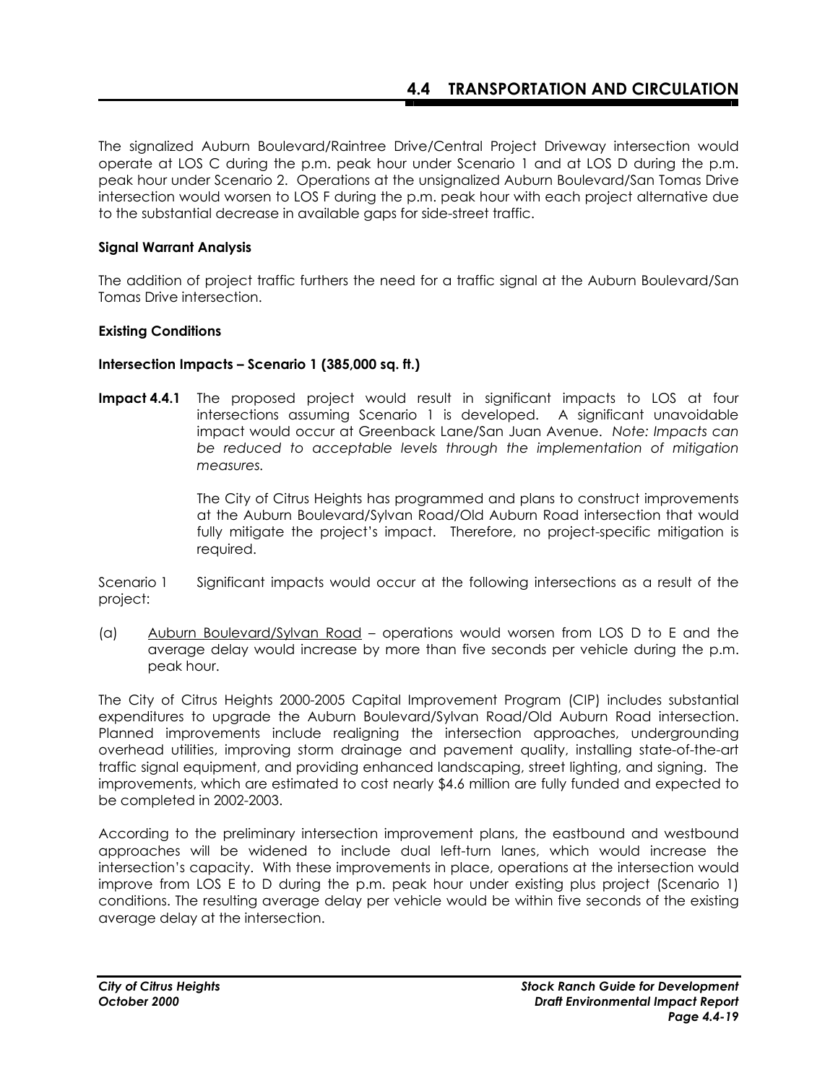The signalized Auburn Boulevard/Raintree Drive/Central Project Driveway intersection would operate at LOS C during the p.m. peak hour under Scenario 1 and at LOS D during the p.m. peak hour under Scenario 2. Operations at the unsignalized Auburn Boulevard/San Tomas Drive intersection would worsen to LOS F during the p.m. peak hour with each project alternative due to the substantial decrease in available gaps for side-street traffic.

### **Signal Warrant Analysis**

The addition of project traffic furthers the need for a traffic signal at the Auburn Boulevard/San Tomas Drive intersection.

### **Existing Conditions**

### **Intersection Impacts – Scenario 1 (385,000 sq. ft.)**

**Impact 4.4.1** The proposed project would result in significant impacts to LOS at four intersections assuming Scenario 1 is developed. A significant unavoidable impact would occur at Greenback Lane/San Juan Avenue.*Note: Impacts can be reduced to acceptable levels through the implementation of mitigation measures.* 

> The City of Citrus Heights has programmed and plans to construct improvements at the Auburn Boulevard/Sylvan Road/Old Auburn Road intersection that would fully mitigate the project's impact. Therefore, no project-specific mitigation is required.

Scenario 1 Significant impacts would occur at the following intersections as a result of the project:

(a) Auburn Boulevard/Sylvan Road – operations would worsen from LOS D to E and the average delay would increase by more than five seconds per vehicle during the p.m. peak hour.

The City of Citrus Heights 2000-2005 Capital Improvement Program (CIP) includes substantial expenditures to upgrade the Auburn Boulevard/Sylvan Road/Old Auburn Road intersection. Planned improvements include realigning the intersection approaches, undergrounding overhead utilities, improving storm drainage and pavement quality, installing state-of-the-art traffic signal equipment, and providing enhanced landscaping, street lighting, and signing. The improvements, which are estimated to cost nearly \$4.6 million are fully funded and expected to be completed in 2002-2003.

According to the preliminary intersection improvement plans, the eastbound and westbound approaches will be widened to include dual left-turn lanes, which would increase the intersection's capacity. With these improvements in place, operations at the intersection would improve from LOS E to D during the p.m. peak hour under existing plus project (Scenario 1) conditions. The resulting average delay per vehicle would be within five seconds of the existing average delay at the intersection.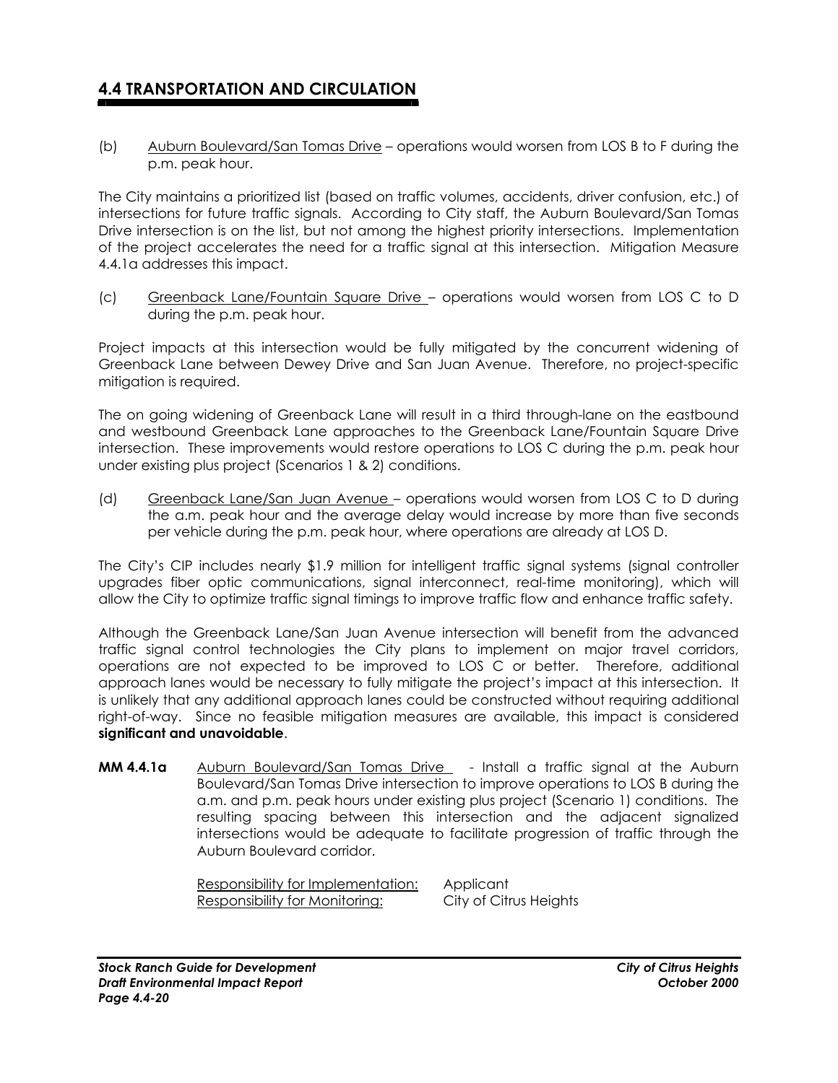(b) Auburn Boulevard/San Tomas Drive – operations would worsen from LOS B to F during the p.m. peak hour.

The City maintains a prioritized list (based on traffic volumes, accidents, driver confusion, etc.) of intersections for future traffic signals. According to City staff, the Auburn Boulevard/San Tomas Drive intersection is on the list, but not among the highest priority intersections. Implementation of the project accelerates the need for a traffic signal at this intersection. Mitigation Measure 4.4.1a addresses this impact.

(c) Greenback Lane/Fountain Square Drive – operations would worsen from LOS C to D during the p.m. peak hour.

Project impacts at this intersection would be fully mitigated by the concurrent widening of Greenback Lane between Dewey Drive and San Juan Avenue. Therefore, no project-specific mitigation is required.

The on going widening of Greenback Lane will result in a third through-lane on the eastbound and westbound Greenback Lane approaches to the Greenback Lane/Fountain Square Drive intersection. These improvements would restore operations to LOS C during the p.m. peak hour under existing plus project (Scenarios 1 & 2) conditions.

(d) Greenback Lane/San Juan Avenue – operations would worsen from LOS C to D during the a.m. peak hour and the average delay would increase by more than five seconds per vehicle during the p.m. peak hour, where operations are already at LOS D.

The City's CIP includes nearly \$1.9 million for intelligent traffic signal systems (signal controller upgrades fiber optic communications, signal interconnect, real-time monitoring), which will allow the City to optimize traffic signal timings to improve traffic flow and enhance traffic safety.

Although the Greenback Lane/San Juan Avenue intersection will benefit from the advanced traffic signal control technologies the City plans to implement on major travel corridors, operations are not expected to be improved to LOS C or better. Therefore, additional approach lanes would be necessary to fully mitigate the project's impact at this intersection. It is unlikely that any additional approach lanes could be constructed without requiring additional right-of-way. Since no feasible mitigation measures are available, this impact is considered **significant and unavoidable**.

**MM 4.4.1a** Auburn Boulevard/San Tomas Drive - Install a traffic signal at the Auburn Boulevard/San Tomas Drive intersection to improve operations to LOS B during the a.m. and p.m. peak hours under existing plus project (Scenario 1) conditions. The resulting spacing between this intersection and the adjacent signalized intersections would be adequate to facilitate progression of traffic through the Auburn Boulevard corridor.

> Responsibility for Implementation: Applicant Responsibility for Monitoring: City of Citrus Heights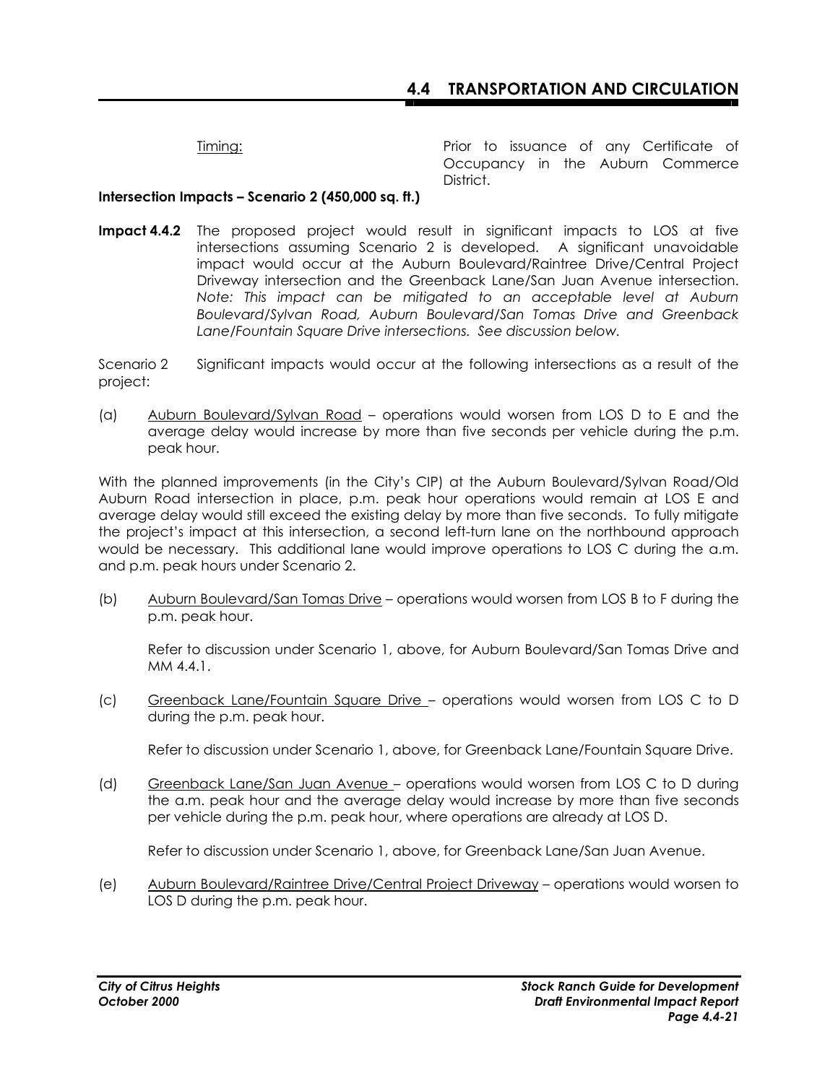Timing: Timing: Prior to issuance of any Certificate of Occupancy in the Auburn Commerce District.

### **Intersection Impacts – Scenario 2 (450,000 sq. ft.)**

**Impact 4.4.2** The proposed project would result in significant impacts to LOS at five intersections assuming Scenario 2 is developed. A significant unavoidable impact would occur at the Auburn Boulevard/Raintree Drive/Central Project Driveway intersection and the Greenback Lane/San Juan Avenue intersection. *Note: This impact can be mitigated to an acceptable level at Auburn Boulevard/Sylvan Road, Auburn Boulevard/San Tomas Drive and Greenback Lane/Fountain Square Drive intersections. See discussion below.* 

Scenario 2 Significant impacts would occur at the following intersections as a result of the project:

(a) Auburn Boulevard/Sylvan Road – operations would worsen from LOS D to E and the average delay would increase by more than five seconds per vehicle during the p.m. peak hour.

With the planned improvements (in the City's CIP) at the Auburn Boulevard/Sylvan Road/Old Auburn Road intersection in place, p.m. peak hour operations would remain at LOS E and average delay would still exceed the existing delay by more than five seconds. To fully mitigate the project's impact at this intersection, a second left-turn lane on the northbound approach would be necessary. This additional lane would improve operations to LOS C during the a.m. and p.m. peak hours under Scenario 2.

(b) Auburn Boulevard/San Tomas Drive – operations would worsen from LOS B to F during the p.m. peak hour.

Refer to discussion under Scenario 1, above, for Auburn Boulevard/San Tomas Drive and MM 4.4.1.

(c) Greenback Lane/Fountain Square Drive – operations would worsen from LOS C to D during the p.m. peak hour.

Refer to discussion under Scenario 1, above, for Greenback Lane/Fountain Square Drive.

(d) Greenback Lane/San Juan Avenue – operations would worsen from LOS C to D during the a.m. peak hour and the average delay would increase by more than five seconds per vehicle during the p.m. peak hour, where operations are already at LOS D.

Refer to discussion under Scenario 1, above, for Greenback Lane/San Juan Avenue.

(e) Auburn Boulevard/Raintree Drive/Central Project Driveway – operations would worsen to LOS D during the p.m. peak hour.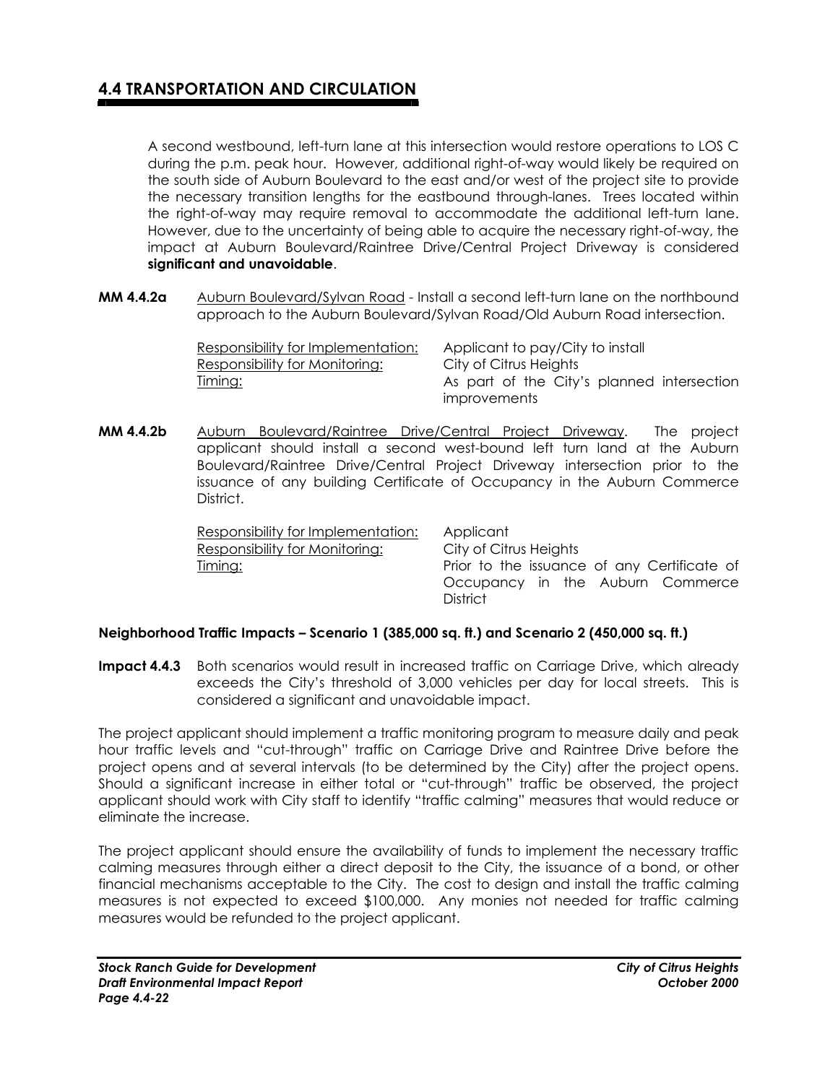A second westbound, left-turn lane at this intersection would restore operations to LOS C during the p.m. peak hour. However, additional right-of-way would likely be required on the south side of Auburn Boulevard to the east and/or west of the project site to provide the necessary transition lengths for the eastbound through-lanes. Trees located within the right-of-way may require removal to accommodate the additional left-turn lane. However, due to the uncertainty of being able to acquire the necessary right-of-way, the impact at Auburn Boulevard/Raintree Drive/Central Project Driveway is considered **significant and unavoidable**.

**MM 4.4.2a** Auburn Boulevard/Sylvan Road - Install a second left-turn lane on the northbound approach to the Auburn Boulevard/Sylvan Road/Old Auburn Road intersection.

| Responsibility for Implementation: | Applicant to pay/City to install           |
|------------------------------------|--------------------------------------------|
| Responsibility for Monitoring:     | City of Citrus Heights                     |
| <u>Timing:</u>                     | As part of the City's planned intersection |
|                                    | improvements                               |

**MM 4.4.2b** Auburn Boulevard/Raintree Drive/Central Project Driveway. The project applicant should install a second west-bound left turn land at the Auburn Boulevard/Raintree Drive/Central Project Driveway intersection prior to the issuance of any building Certificate of Occupancy in the Auburn Commerce District.

| Responsibility for Implementation: | Applicant                                   |
|------------------------------------|---------------------------------------------|
| Responsibility for Monitoring:     | City of Citrus Heights                      |
| Timing:                            | Prior to the issuance of any Certificate of |
|                                    | Occupancy in the Auburn Commerce            |
|                                    | <b>District</b>                             |

### **Neighborhood Traffic Impacts – Scenario 1 (385,000 sq. ft.) and Scenario 2 (450,000 sq. ft.)**

**Impact 4.4.3** Both scenarios would result in increased traffic on Carriage Drive, which already exceeds the City's threshold of 3,000 vehicles per day for local streets. This is considered a significant and unavoidable impact.

The project applicant should implement a traffic monitoring program to measure daily and peak hour traffic levels and "cut-through" traffic on Carriage Drive and Raintree Drive before the project opens and at several intervals (to be determined by the City) after the project opens. Should a significant increase in either total or "cut-through" traffic be observed, the project applicant should work with City staff to identify "traffic calming" measures that would reduce or eliminate the increase.

The project applicant should ensure the availability of funds to implement the necessary traffic calming measures through either a direct deposit to the City, the issuance of a bond, or other financial mechanisms acceptable to the City. The cost to design and install the traffic calming measures is not expected to exceed \$100,000. Any monies not needed for traffic calming measures would be refunded to the project applicant.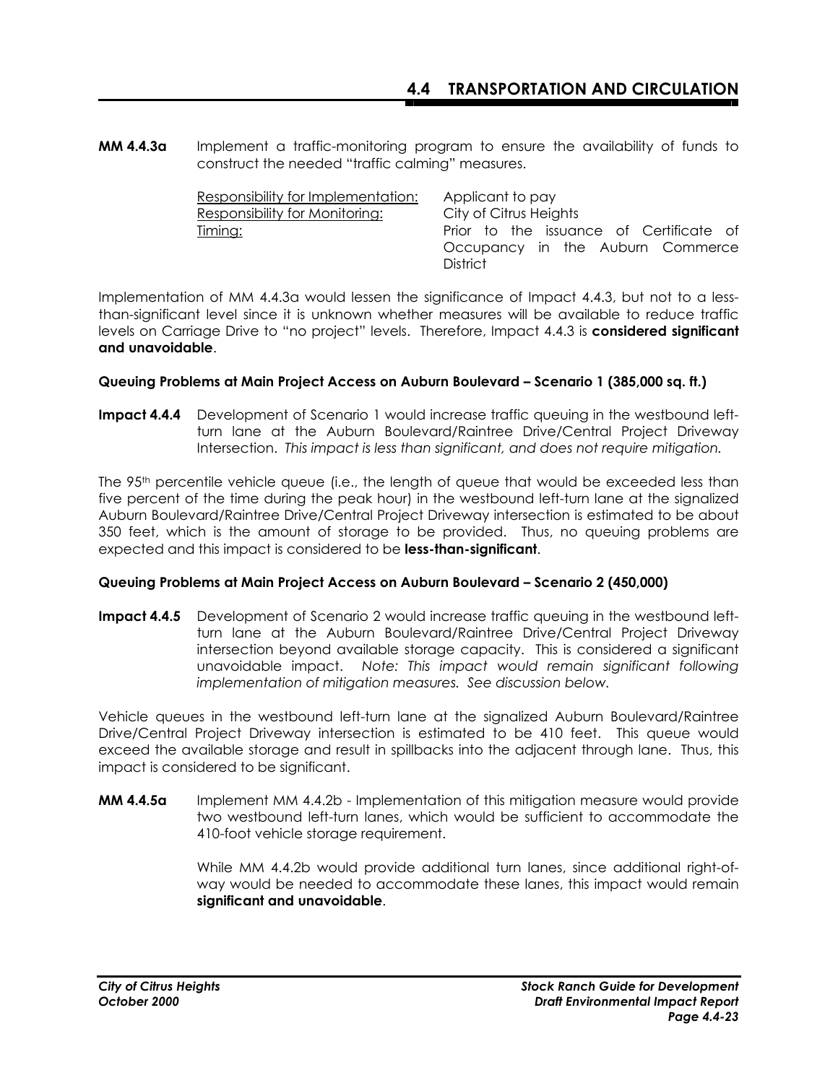**MM 4.4.3a** Implement a traffic-monitoring program to ensure the availability of funds to construct the needed "traffic calming" measures.

| Responsibility for Implementation: | Applicant to pay                                    |
|------------------------------------|-----------------------------------------------------|
| Responsibility for Monitoring:     | City of Citrus Heights                              |
| <u>Timing:</u>                     | Prior to the issuance of Certificate of             |
|                                    | Occupancy in the Auburn Commerce<br><b>District</b> |

Implementation of MM 4.4.3a would lessen the significance of Impact 4.4.3, but not to a lessthan-significant level since it is unknown whether measures will be available to reduce traffic levels on Carriage Drive to "no project" levels. Therefore, Impact 4.4.3 is **considered significant and unavoidable**.

#### **Queuing Problems at Main Project Access on Auburn Boulevard – Scenario 1 (385,000 sq. ft.)**

**Impact 4.4.4** Development of Scenario 1 would increase traffic queuing in the westbound leftturn lane at the Auburn Boulevard/Raintree Drive/Central Project Driveway Intersection. *This impact is less than significant, and does not require mitigation.*

The 95<sup>th</sup> percentile vehicle queue (i.e., the length of queue that would be exceeded less than five percent of the time during the peak hour) in the westbound left-turn lane at the signalized Auburn Boulevard/Raintree Drive/Central Project Driveway intersection is estimated to be about 350 feet, which is the amount of storage to be provided. Thus, no queuing problems are expected and this impact is considered to be **less-than-significant**.

### **Queuing Problems at Main Project Access on Auburn Boulevard – Scenario 2 (450,000)**

**Impact 4.4.5** Development of Scenario 2 would increase traffic queuing in the westbound leftturn lane at the Auburn Boulevard/Raintree Drive/Central Project Driveway intersection beyond available storage capacity. This is considered a significant unavoidable impact. *Note: This impact would remain significant following implementation of mitigation measures. See discussion below.* 

Vehicle queues in the westbound left-turn lane at the signalized Auburn Boulevard/Raintree Drive/Central Project Driveway intersection is estimated to be 410 feet. This queue would exceed the available storage and result in spillbacks into the adjacent through lane. Thus, this impact is considered to be significant.

**MM 4.4.5a** Implement MM 4.4.2b - Implementation of this mitigation measure would provide two westbound left-turn lanes, which would be sufficient to accommodate the 410-foot vehicle storage requirement.

> While MM 4.4.2b would provide additional turn lanes, since additional right-ofway would be needed to accommodate these lanes, this impact would remain **significant and unavoidable**.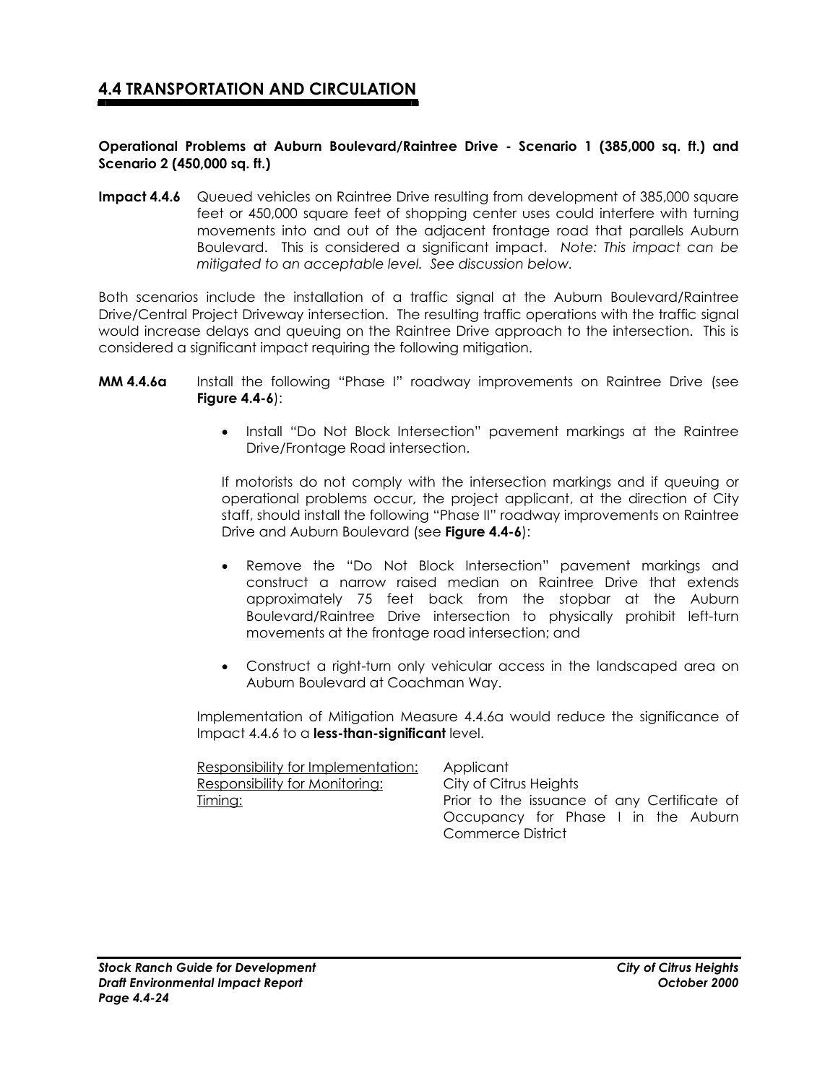#### **Operational Problems at Auburn Boulevard/Raintree Drive - Scenario 1 (385,000 sq. ft.) and Scenario 2 (450,000 sq. ft.)**

**Impact 4.4.6** Queued vehicles on Raintree Drive resulting from development of 385,000 square feet or 450,000 square feet of shopping center uses could interfere with turning movements into and out of the adjacent frontage road that parallels Auburn Boulevard. This is considered a significant impact. *Note: This impact can be mitigated to an acceptable level. See discussion below.*

Both scenarios include the installation of a traffic signal at the Auburn Boulevard/Raintree Drive/Central Project Driveway intersection. The resulting traffic operations with the traffic signal would increase delays and queuing on the Raintree Drive approach to the intersection. This is considered a significant impact requiring the following mitigation.

- **MM 4.4.6a** Install the following "Phase I" roadway improvements on Raintree Drive (see **Figure 4.4-6**):
	- Install "Do Not Block Intersection" pavement markings at the Raintree Drive/Frontage Road intersection.

If motorists do not comply with the intersection markings and if queuing or operational problems occur, the project applicant, at the direction of City staff, should install the following "Phase II" roadway improvements on Raintree Drive and Auburn Boulevard (see **Figure 4.4-6**):

- Remove the "Do Not Block Intersection" pavement markings and construct a narrow raised median on Raintree Drive that extends approximately 75 feet back from the stopbar at the Auburn Boulevard/Raintree Drive intersection to physically prohibit left-turn movements at the frontage road intersection; and
- Construct a right-turn only vehicular access in the landscaped area on Auburn Boulevard at Coachman Way.

 Implementation of Mitigation Measure 4.4.6a would reduce the significance of Impact 4.4.6 to a **less-than-significant** level.

| Responsibility for Implementation:    | Applicant                                   |
|---------------------------------------|---------------------------------------------|
| <b>Responsibility for Monitoring:</b> | City of Citrus Heights                      |
| <u>Timing:</u>                        | Prior to the issuance of any Certificate of |
|                                       | Occupancy for Phase I in the Auburn         |
|                                       | Commerce District                           |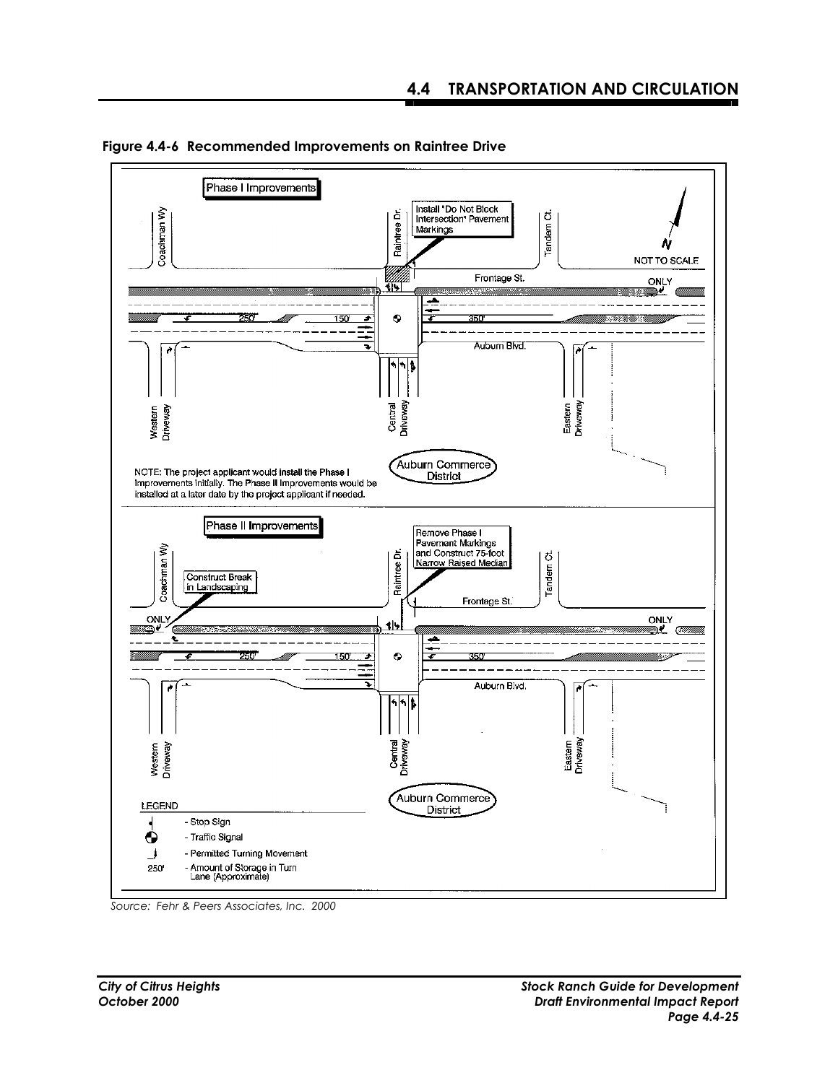

 **Figure 4.4-6 Recommended Improvements on Raintree Drive** 

*Source: Fehr & Peers Associates, Inc. 2000*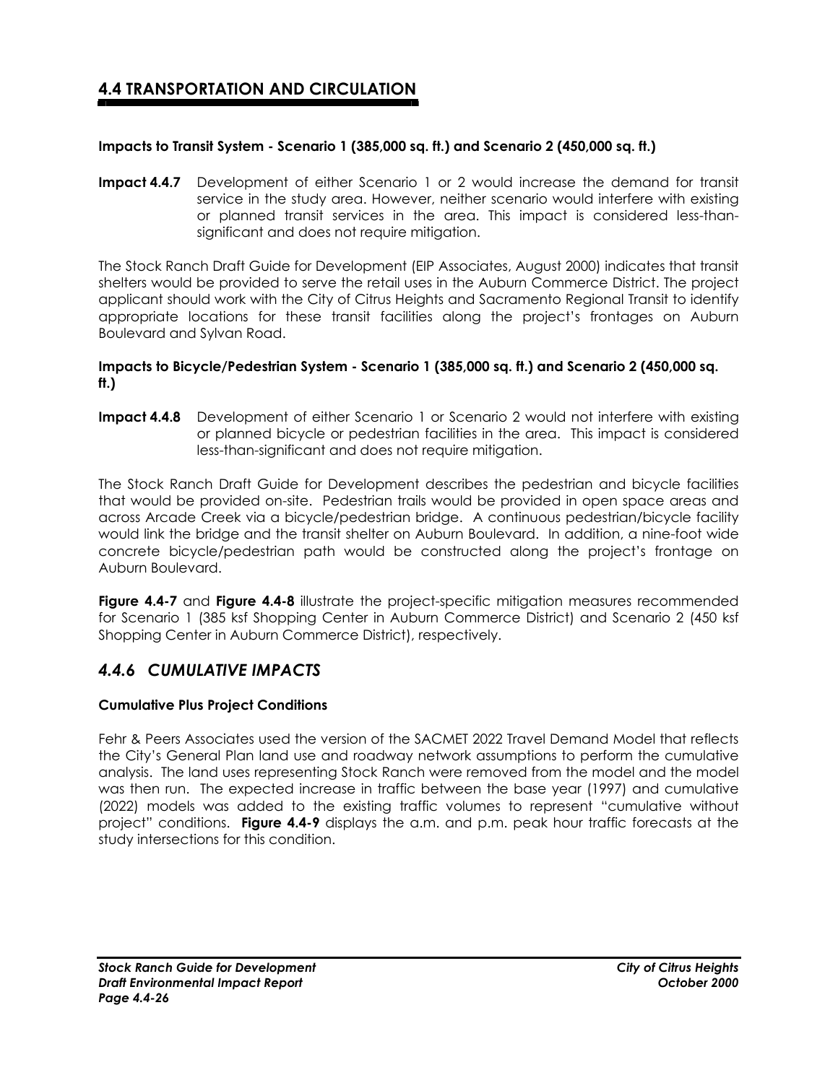### **Impacts to Transit System - Scenario 1 (385,000 sq. ft.) and Scenario 2 (450,000 sq. ft.)**

**Impact 4.4.7** Development of either Scenario 1 or 2 would increase the demand for transit service in the study area. However, neither scenario would interfere with existing or planned transit services in the area. This impact is considered less-thansignificant and does not require mitigation.

The Stock Ranch Draft Guide for Development (EIP Associates, August 2000) indicates that transit shelters would be provided to serve the retail uses in the Auburn Commerce District. The project applicant should work with the City of Citrus Heights and Sacramento Regional Transit to identify appropriate locations for these transit facilities along the project's frontages on Auburn Boulevard and Sylvan Road.

#### **Impacts to Bicycle/Pedestrian System - Scenario 1 (385,000 sq. ft.) and Scenario 2 (450,000 sq. ft.)**

**Impact 4.4.8** Development of either Scenario 1 or Scenario 2 would not interfere with existing or planned bicycle or pedestrian facilities in the area. This impact is considered less-than-significant and does not require mitigation.

The Stock Ranch Draft Guide for Development describes the pedestrian and bicycle facilities that would be provided on-site. Pedestrian trails would be provided in open space areas and across Arcade Creek via a bicycle/pedestrian bridge. A continuous pedestrian/bicycle facility would link the bridge and the transit shelter on Auburn Boulevard. In addition, a nine-foot wide concrete bicycle/pedestrian path would be constructed along the project's frontage on Auburn Boulevard.

**Figure 4.4-7** and **Figure 4.4-8** illustrate the project-specific mitigation measures recommended for Scenario 1 (385 ksf Shopping Center in Auburn Commerce District) and Scenario 2 (450 ksf Shopping Center in Auburn Commerce District), respectively.

### *4.4.6 CUMULATIVE IMPACTS*

### **Cumulative Plus Project Conditions**

Fehr & Peers Associates used the version of the SACMET 2022 Travel Demand Model that reflects the City's General Plan land use and roadway network assumptions to perform the cumulative analysis. The land uses representing Stock Ranch were removed from the model and the model was then run. The expected increase in traffic between the base year (1997) and cumulative (2022) models was added to the existing traffic volumes to represent "cumulative without project" conditions. **Figure 4.4-9** displays the a.m. and p.m. peak hour traffic forecasts at the study intersections for this condition.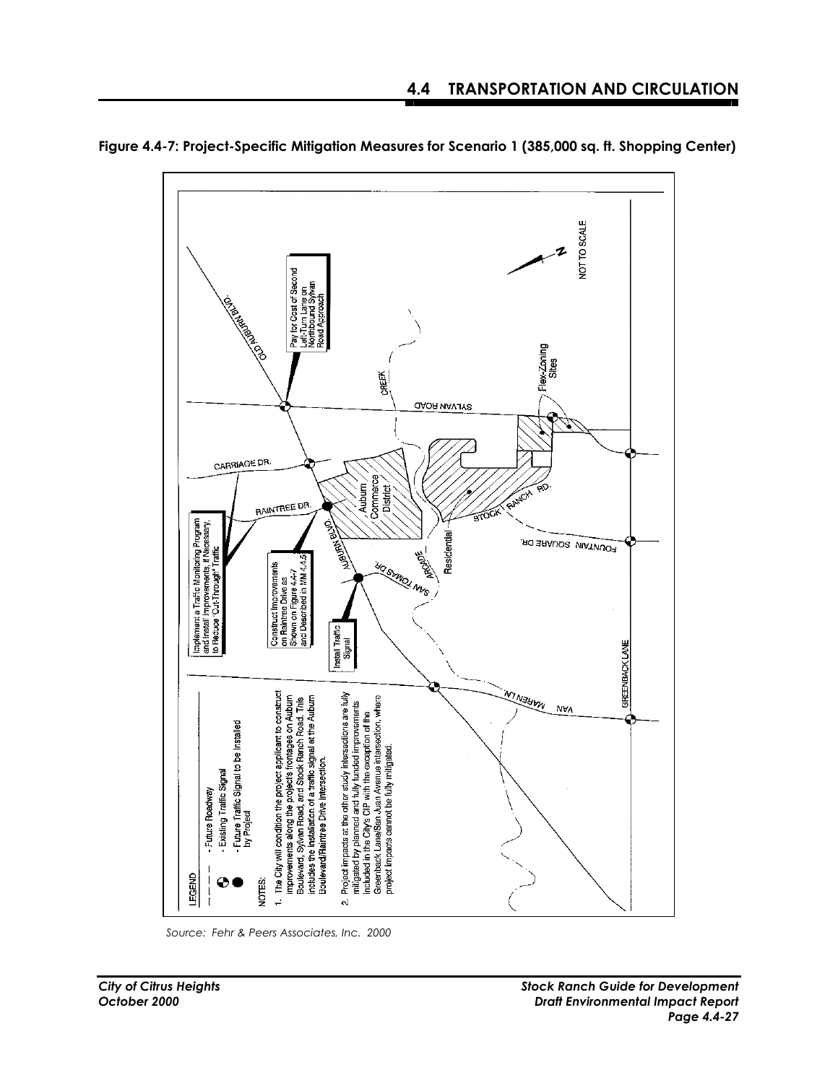

**Figure 4.4-7: Project-Specific Mitigation Measures for Scenario 1 (385,000 sq. ft. Shopping Center)** 

*Source: Fehr & Peers Associates, Inc. 2000*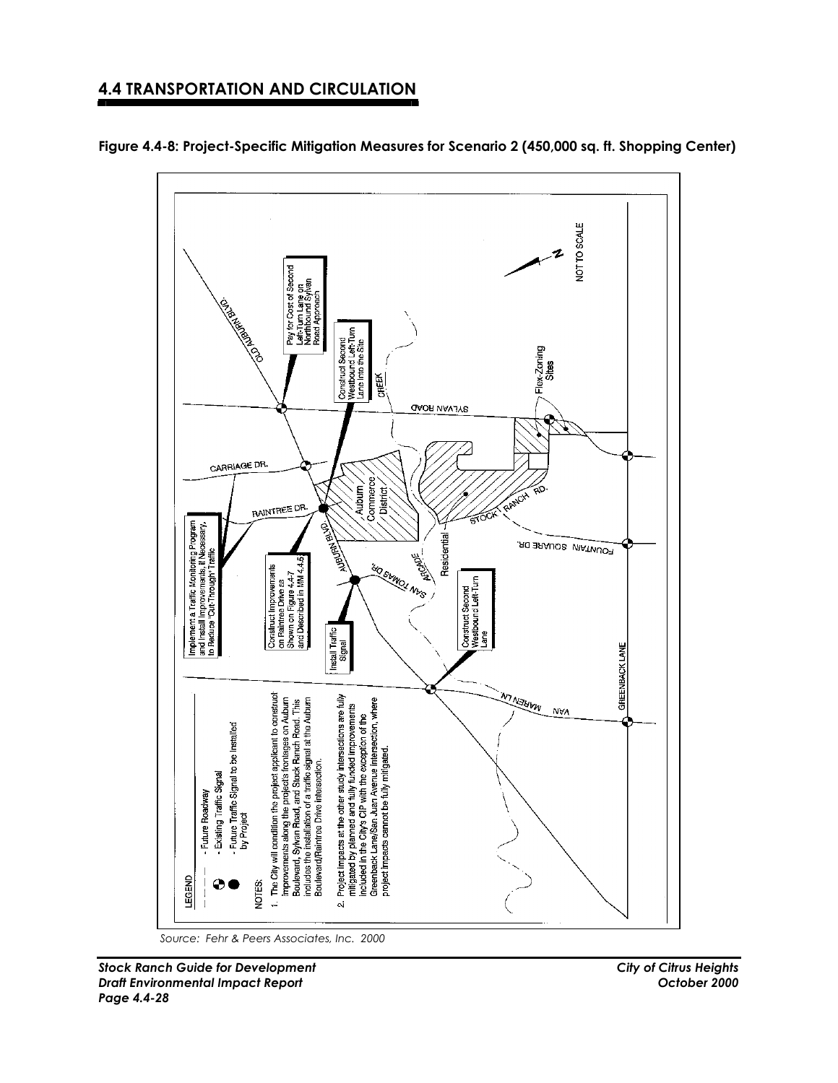

**Figure 4.4-8: Project-Specific Mitigation Measures for Scenario 2 (450,000 sq. ft. Shopping Center)** 

*Source: Fehr & Peers Associates, Inc. 2000*

*Stock Ranch Guide for Development City of Citrus Heights Draft Environmental Impact Report October 2000 Page 4.4-28*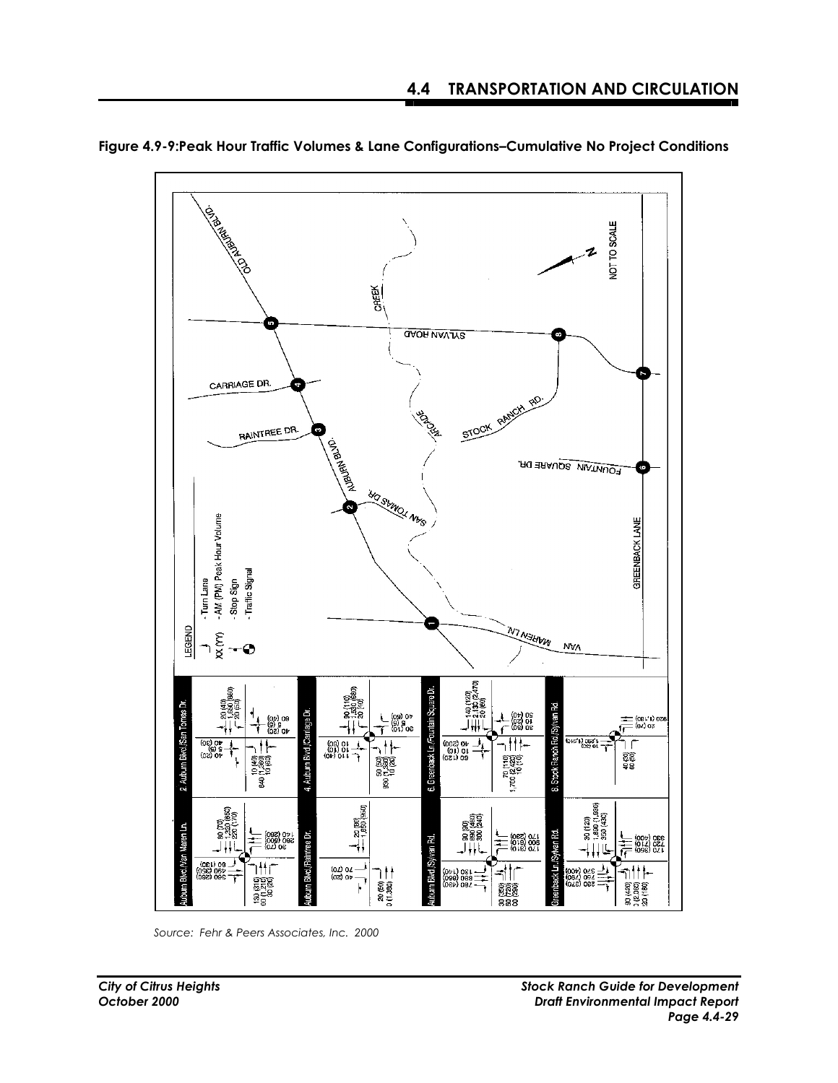

**Figure 4.9-9:Peak Hour Traffic Volumes & Lane Configurations–Cumulative No Project Conditions** 

*Source: Fehr & Peers Associates, Inc. 2000*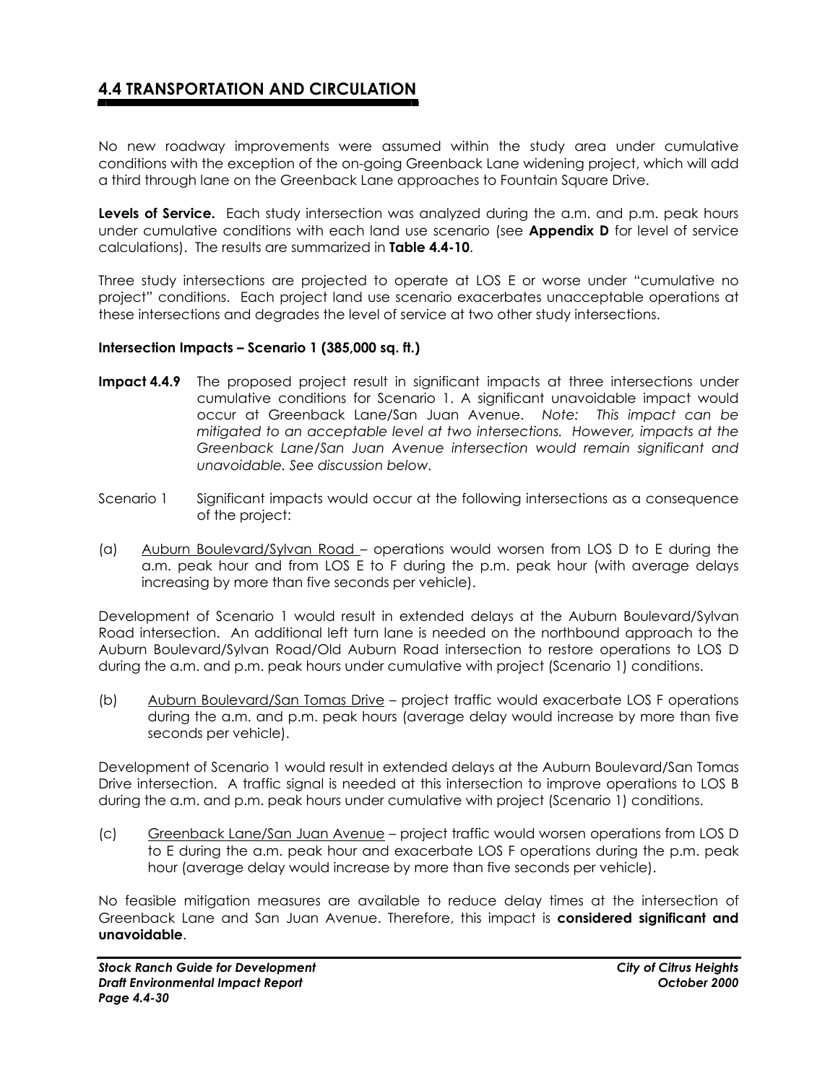No new roadway improvements were assumed within the study area under cumulative conditions with the exception of the on-going Greenback Lane widening project, which will add a third through lane on the Greenback Lane approaches to Fountain Square Drive.

**Levels of Service.** Each study intersection was analyzed during the a.m. and p.m. peak hours under cumulative conditions with each land use scenario (see **Appendix D** for level of service calculations). The results are summarized in **Table 4.4-10**.

Three study intersections are projected to operate at LOS E or worse under "cumulative no project" conditions. Each project land use scenario exacerbates unacceptable operations at these intersections and degrades the level of service at two other study intersections.

#### **Intersection Impacts – Scenario 1 (385,000 sq. ft.)**

- **Impact 4.4.9** The proposed project result in significant impacts at three intersections under cumulative conditions for Scenario 1. A significant unavoidable impact would occur at Greenback Lane/San Juan Avenue.*Note: This impact can be mitigated to an acceptable level at two intersections. However, impacts at the Greenback Lane/San Juan Avenue intersection would remain significant and unavoidable. See discussion below.*
- Scenario 1 Significant impacts would occur at the following intersections as a consequence of the project:
- (a) Auburn Boulevard/Sylvan Road operations would worsen from LOS D to E during the a.m. peak hour and from LOS E to F during the p.m. peak hour (with average delays increasing by more than five seconds per vehicle).

Development of Scenario 1 would result in extended delays at the Auburn Boulevard/Sylvan Road intersection. An additional left turn lane is needed on the northbound approach to the Auburn Boulevard/Sylvan Road/Old Auburn Road intersection to restore operations to LOS D during the a.m. and p.m. peak hours under cumulative with project (Scenario 1) conditions.

(b) Auburn Boulevard/San Tomas Drive – project traffic would exacerbate LOS F operations during the a.m. and p.m. peak hours (average delay would increase by more than five seconds per vehicle).

Development of Scenario 1 would result in extended delays at the Auburn Boulevard/San Tomas Drive intersection. A traffic signal is needed at this intersection to improve operations to LOS B during the a.m. and p.m. peak hours under cumulative with project (Scenario 1) conditions.

(c) Greenback Lane/San Juan Avenue – project traffic would worsen operations from LOS D to E during the a.m. peak hour and exacerbate LOS F operations during the p.m. peak hour (average delay would increase by more than five seconds per vehicle).

No feasible mitigation measures are available to reduce delay times at the intersection of Greenback Lane and San Juan Avenue. Therefore, this impact is **considered significant and unavoidable**.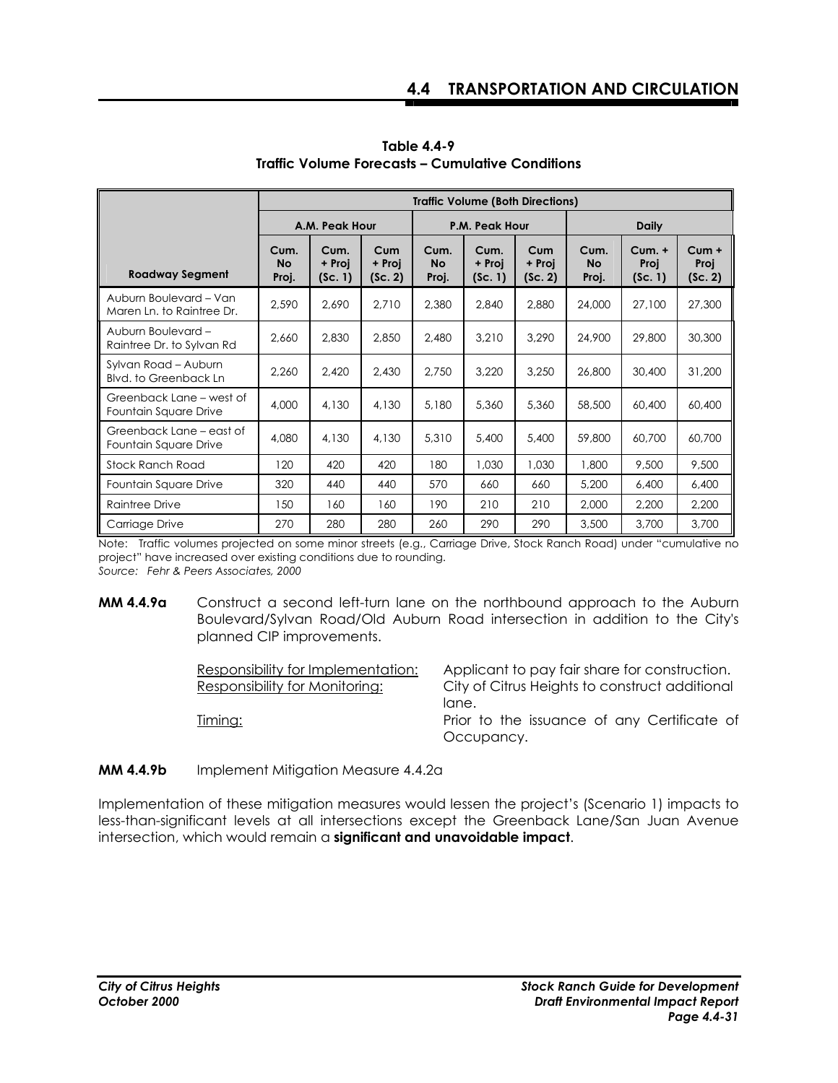|                                                      | <b>Traffic Volume (Both Directions)</b> |                           |                          |                            |                           |                          |                            |                                         |                            |  |
|------------------------------------------------------|-----------------------------------------|---------------------------|--------------------------|----------------------------|---------------------------|--------------------------|----------------------------|-----------------------------------------|----------------------------|--|
|                                                      |                                         | A.M. Peak Hour            |                          |                            | P.M. Peak Hour            |                          |                            | <b>Daily</b>                            |                            |  |
| <b>Roadway Segment</b>                               | Cum.<br><b>No</b><br>Proj.              | Cum.<br>+ Proi<br>(Sc. 1) | Cum<br>+ Proj<br>(Sc. 2) | Cum.<br><b>No</b><br>Proj. | Cum.<br>+ Proj<br>(Sc. 1) | Cum<br>+ Proj<br>(Sc. 2) | Cum.<br><b>No</b><br>Proj. | <b>Cum. +</b><br><b>Proj</b><br>(Sc. 1) | $Cum +$<br>Proj<br>(Sc. 2) |  |
| Auburn Boulevard - Van<br>Maren Ln. to Raintree Dr.  | 2,590                                   | 2,690                     | 2,710                    | 2,380                      | 2,840                     | 2,880                    | 24,000                     | 27,100                                  | 27,300                     |  |
| Auburn Boulevard-<br>Raintree Dr. to Sylvan Rd       | 2,660                                   | 2.830                     | 2.850                    | 2.480                      | 3.210                     | 3.290                    | 24,900                     | 29,800                                  | 30,300                     |  |
| Sylvan Road - Auburn<br><b>Blvd.</b> to Greenback Ln | 2,260                                   | 2,420                     | 2,430                    | 2,750                      | 3,220                     | 3,250                    | 26,800                     | 30,400                                  | 31,200                     |  |
| Greenback Lane – west of<br>Fountain Square Drive    | 4,000                                   | 4,130                     | 4,130                    | 5,180                      | 5,360                     | 5,360                    | 58,500                     | 60,400                                  | 60,400                     |  |
| Greenback Lane – east of<br>Fountain Square Drive    | 4,080                                   | 4,130                     | 4,130                    | 5.310                      | 5,400                     | 5,400                    | 59,800                     | 60,700                                  | 60,700                     |  |
| Stock Ranch Road                                     | 120                                     | 420                       | 420                      | 180                        | 1,030                     | 1,030                    | 1,800                      | 9,500                                   | 9,500                      |  |
| Fountain Square Drive                                | 320                                     | 440                       | 440                      | 570                        | 660                       | 660                      | 5,200                      | 6,400                                   | 6,400                      |  |
| Raintree Drive                                       | 150                                     | 160                       | 160                      | 190                        | 210                       | 210                      | 2,000                      | 2,200                                   | 2,200                      |  |
| Carriage Drive                                       | 270                                     | 280                       | 280                      | 260                        | 290                       | 290                      | 3,500                      | 3,700                                   | 3,700                      |  |

**Table 4.4-9 Traffic Volume Forecasts – Cumulative Conditions** 

Note: Traffic volumes projected on some minor streets (e.g., Carriage Drive, Stock Ranch Road) under "cumulative no project" have increased over existing conditions due to rounding. *Source: Fehr & Peers Associates, 2000* 

**MM 4.4.9a** Construct a second left-turn lane on the northbound approach to the Auburn Boulevard/Sylvan Road/Old Auburn Road intersection in addition to the City's planned CIP improvements.

| Responsibility for Implementation: | Applicant to pay fair share for construction.  |
|------------------------------------|------------------------------------------------|
| Responsibility for Monitoring:     | City of Citrus Heights to construct additional |
|                                    | lane.                                          |
| <u>Timing:</u>                     | Prior to the issuance of any Certificate of    |
|                                    | Occupancy.                                     |

**MM 4.4.9b** Implement Mitigation Measure 4.4.2a

Implementation of these mitigation measures would lessen the project's (Scenario 1) impacts to less-than-significant levels at all intersections except the Greenback Lane/San Juan Avenue intersection, which would remain a **significant and unavoidable impact**.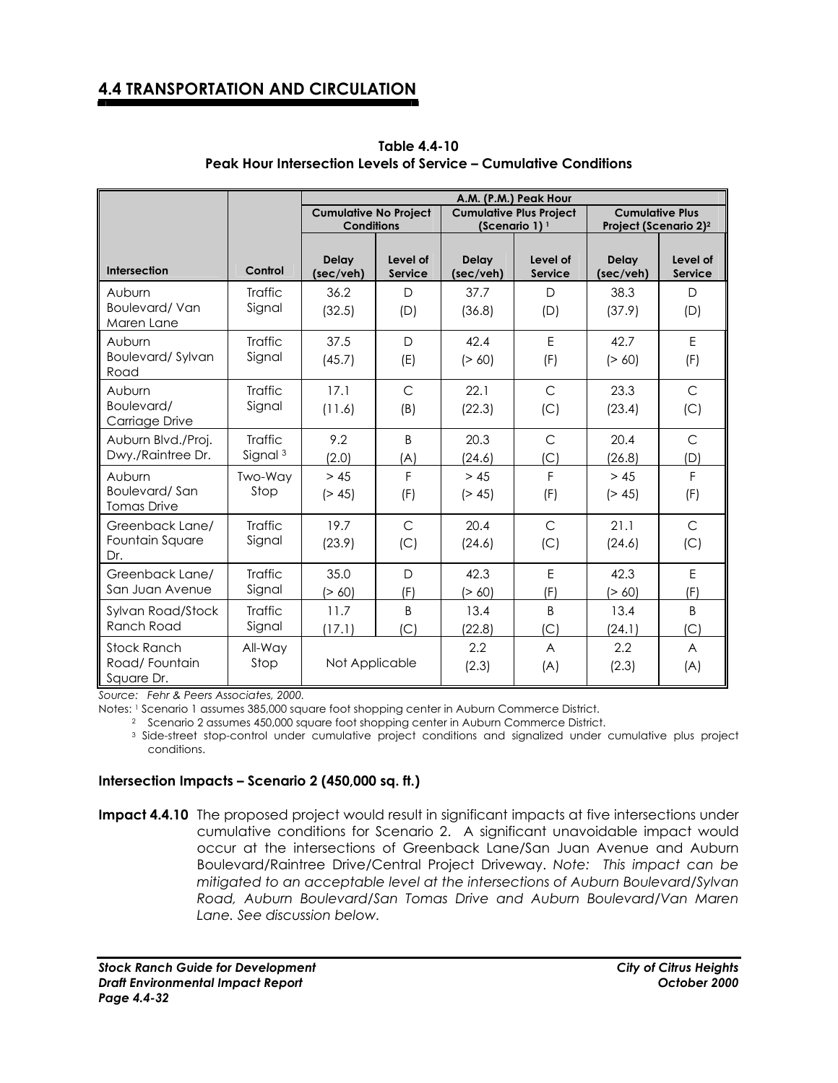|                                               |                                | A.M. (P.M.) Peak Hour                             |                            |                           |                                |                    |                                                             |  |
|-----------------------------------------------|--------------------------------|---------------------------------------------------|----------------------------|---------------------------|--------------------------------|--------------------|-------------------------------------------------------------|--|
|                                               |                                | <b>Cumulative No Project</b><br><b>Conditions</b> |                            |                           | <b>Cumulative Plus Project</b> |                    | <b>Cumulative Plus</b><br>Project (Scenario 2) <sup>2</sup> |  |
|                                               |                                |                                                   |                            | (Scenario 1) $1$          |                                |                    |                                                             |  |
| Intersection                                  | Control                        | <b>Delay</b><br>(sec/veh)                         | Level of<br><b>Service</b> | <b>Delay</b><br>(sec/veh) | Level of<br>Service            | Delay<br>(sec/veh) | Level of<br><b>Service</b>                                  |  |
| Auburn<br><b>Boulevard/Van</b><br>Maren Lane  | <b>Traffic</b><br>Signal       | 36.2<br>(32.5)                                    | D<br>(D)                   | 37.7<br>(36.8)            | D.<br>(D)                      | 38.3<br>(37.9)     | $\Box$<br>(D)                                               |  |
| Auburn<br>Boulevard/Sylvan<br>Road            | <b>Traffic</b><br>Signal       | 37.5<br>(45.7)                                    | $\mathsf{D}$<br>(E)        | 42.4<br>(> 60)            | E<br>(F)                       | 42.7<br>(> 60)     | E<br>(F)                                                    |  |
| Auburn<br>Boulevard/<br>Carriage Drive        | <b>Traffic</b><br>Signal       | 17.1<br>(11.6)                                    | $\mathsf{C}$<br>(B)        | 22.1<br>(22.3)            | $\mathsf{C}$<br>(C)            | 23.3<br>(23.4)     | $\mathsf{C}$<br>(C)                                         |  |
| Auburn Blvd./Proj.<br>Dwy./Raintree Dr.       | Traffic<br>Signal <sup>3</sup> | 9.2<br>(2.0)                                      | <sub>R</sub><br>(A)        | 20.3<br>(24.6)            | $\mathsf{C}$<br>(C)            | 20.4<br>(26.8)     | $\overline{C}$<br>(D)                                       |  |
| Auburn<br>Boulevard/San<br><b>Tomas Drive</b> | <b>Two-Wav</b><br>Stop         | > 45<br>(> 45)                                    | F<br>(F)                   | > 45<br>(> 45)            | F<br>(F)                       | > 45<br>(> 45)     | F<br>(F)                                                    |  |
| Greenback Lane/<br>Fountain Square<br>Dr.     | <b>Traffic</b><br>Signal       | 19.7<br>(23.9)                                    | $\mathsf{C}$<br>(C)        | 20.4<br>(24.6)            | $\mathsf{C}$<br>(C)            | 21.1<br>(24.6)     | $\mathsf{C}$<br>(C)                                         |  |
| Greenback Lane/<br>San Juan Avenue            | <b>Traffic</b><br>Signal       | 35.0<br>(> 60)                                    | D<br>(F)                   | 42.3<br>(> 60)            | E<br>(F)                       | 42.3<br>(> 60)     | E<br>(F)                                                    |  |
| Sylvan Road/Stock<br>Ranch Road               | <b>Traffic</b><br>Signal       | 11.7<br>(17.1)                                    | <sub>B</sub><br> C         | 13.4<br>(22.8)            | <sub>B</sub><br>(C)            | 13.4<br>(24.1)     | <sub>B</sub><br> C                                          |  |
| Stock Ranch<br>Road/Fountain<br>Square Dr.    | All-Way<br>Stop                | Not Applicable                                    |                            | $2.2^{\circ}$<br>(2.3)    | A<br>(A)                       | 2.2<br>(2.3)       | A<br>(A)                                                    |  |

**Table 4.4-10 Peak Hour Intersection Levels of Service – Cumulative Conditions** 

*Source: Fehr & Peers Associates, 2000.* 

Notes: 1 Scenario 1 assumes 385,000 square foot shopping center in Auburn Commerce District.

2 Scenario 2 assumes 450,000 square foot shopping center in Auburn Commerce District.

 3 Side-street stop-control under cumulative project conditions and signalized under cumulative plus project conditions.

#### **Intersection Impacts – Scenario 2 (450,000 sq. ft.)**

**Impact 4.4.10** The proposed project would result in significant impacts at five intersections under cumulative conditions for Scenario 2. A significant unavoidable impact would occur at the intersections of Greenback Lane/San Juan Avenue and Auburn Boulevard/Raintree Drive/Central Project Driveway. *Note: This impact can be mitigated to an acceptable level at the intersections of Auburn Boulevard/Sylvan Road, Auburn Boulevard/San Tomas Drive and Auburn Boulevard/Van Maren Lane. See discussion below.* 

*Stock Ranch Guide for Development City of Citrus Heights Draft Environmental Impact Report October 2000 Page 4.4-32*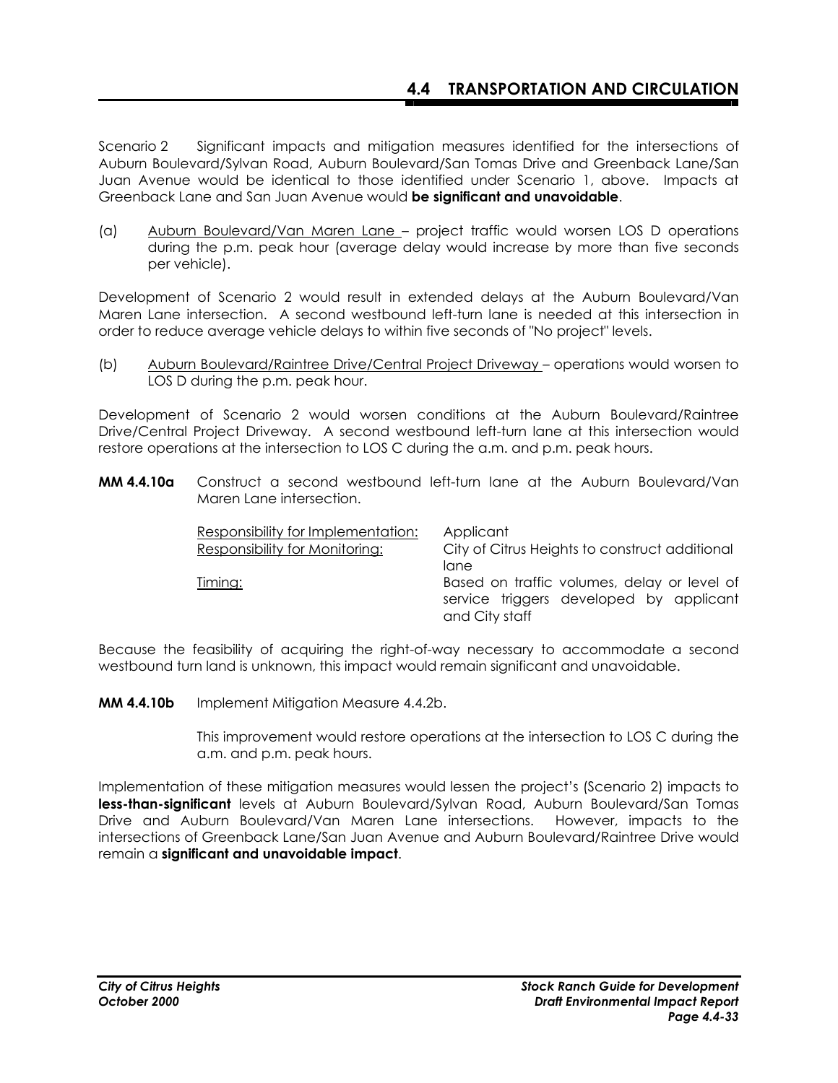Scenario 2 Significant impacts and mitigation measures identified for the intersections of Auburn Boulevard/Sylvan Road, Auburn Boulevard/San Tomas Drive and Greenback Lane/San Juan Avenue would be identical to those identified under Scenario 1, above. Impacts at Greenback Lane and San Juan Avenue would **be significant and unavoidable**.

(a) Auburn Boulevard/Van Maren Lane – project traffic would worsen LOS D operations during the p.m. peak hour (average delay would increase by more than five seconds per vehicle).

Development of Scenario 2 would result in extended delays at the Auburn Boulevard/Van Maren Lane intersection. A second westbound left-turn lane is needed at this intersection in order to reduce average vehicle delays to within five seconds of "No project" levels.

(b) Auburn Boulevard/Raintree Drive/Central Project Driveway – operations would worsen to LOS D during the p.m. peak hour.

Development of Scenario 2 would worsen conditions at the Auburn Boulevard/Raintree Drive/Central Project Driveway. A second westbound left-turn lane at this intersection would restore operations at the intersection to LOS C during the a.m. and p.m. peak hours.

**MM 4.4.10a** Construct a second westbound left-turn lane at the Auburn Boulevard/Van Maren Lane intersection.

| Responsibility for Implementation:<br>Responsibility for Monitoring: | Applicant<br>City of Citrus Heights to construct additional |
|----------------------------------------------------------------------|-------------------------------------------------------------|
| Timing:                                                              | lane<br>Based on traffic volumes, delay or level of         |
|                                                                      | service triggers developed by applicant<br>and City staff   |

Because the feasibility of acquiring the right-of-way necessary to accommodate a second westbound turn land is unknown, this impact would remain significant and unavoidable.

**MM 4.4.10b** Implement Mitigation Measure 4.4.2b.

 This improvement would restore operations at the intersection to LOS C during the a.m. and p.m. peak hours.

Implementation of these mitigation measures would lessen the project's (Scenario 2) impacts to **less-than-significant** levels at Auburn Boulevard/Sylvan Road, Auburn Boulevard/San Tomas Drive and Auburn Boulevard/Van Maren Lane intersections. However, impacts to the intersections of Greenback Lane/San Juan Avenue and Auburn Boulevard/Raintree Drive would remain a **significant and unavoidable impact**.